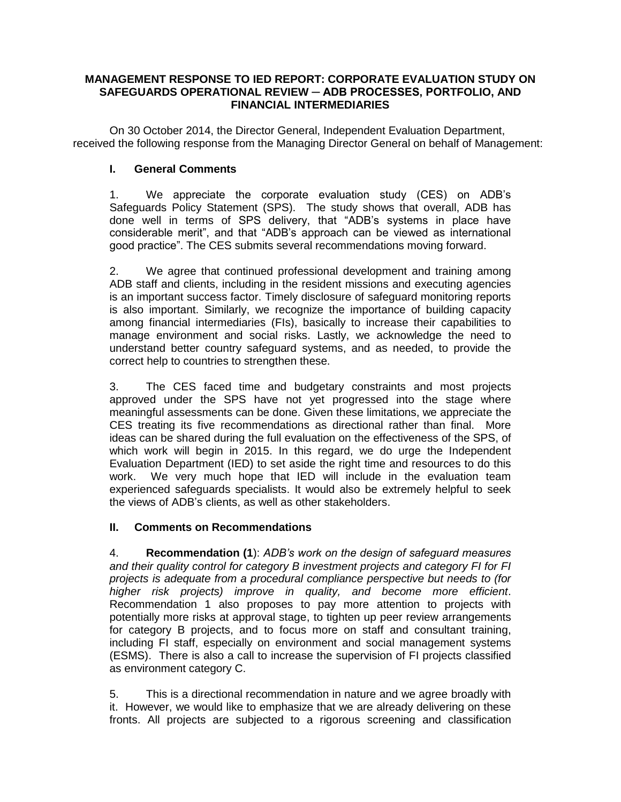## **MANAGEMENT RESPONSE TO IED REPORT: CORPORATE EVALUATION STUDY ON SAFEGUARDS OPERATIONAL REVIEW ─ ADB PROCESSES, PORTFOLIO, AND FINANCIAL INTERMEDIARIES**

On 30 October 2014, the Director General, Independent Evaluation Department, received the following response from the Managing Director General on behalf of Management:

## **I. General Comments**

1. We appreciate the corporate evaluation study (CES) on ADB's Safeguards Policy Statement (SPS). The study shows that overall, ADB has done well in terms of SPS delivery, that "ADB's systems in place have considerable merit", and that "ADB's approach can be viewed as international good practice". The CES submits several recommendations moving forward.

2. We agree that continued professional development and training among ADB staff and clients, including in the resident missions and executing agencies is an important success factor. Timely disclosure of safeguard monitoring reports is also important. Similarly, we recognize the importance of building capacity among financial intermediaries (FIs), basically to increase their capabilities to manage environment and social risks. Lastly, we acknowledge the need to understand better country safeguard systems, and as needed, to provide the correct help to countries to strengthen these.

3. The CES faced time and budgetary constraints and most projects approved under the SPS have not yet progressed into the stage where meaningful assessments can be done. Given these limitations, we appreciate the CES treating its five recommendations as directional rather than final. More ideas can be shared during the full evaluation on the effectiveness of the SPS, of which work will begin in 2015. In this regard, we do urge the Independent Evaluation Department (IED) to set aside the right time and resources to do this work. We very much hope that IED will include in the evaluation team experienced safeguards specialists. It would also be extremely helpful to seek the views of ADB's clients, as well as other stakeholders.

## **II. Comments on Recommendations**

4. **Recommendation (1**): *ADB's work on the design of safeguard measures and their quality control for category B investment projects and category FI for FI projects is adequate from a procedural compliance perspective but needs to (for higher risk projects) improve in quality, and become more efficient*. Recommendation 1 also proposes to pay more attention to projects with potentially more risks at approval stage, to tighten up peer review arrangements for category B projects, and to focus more on staff and consultant training, including FI staff, especially on environment and social management systems (ESMS). There is also a call to increase the supervision of FI projects classified as environment category C.

5. This is a directional recommendation in nature and we agree broadly with it. However, we would like to emphasize that we are already delivering on these fronts. All projects are subjected to a rigorous screening and classification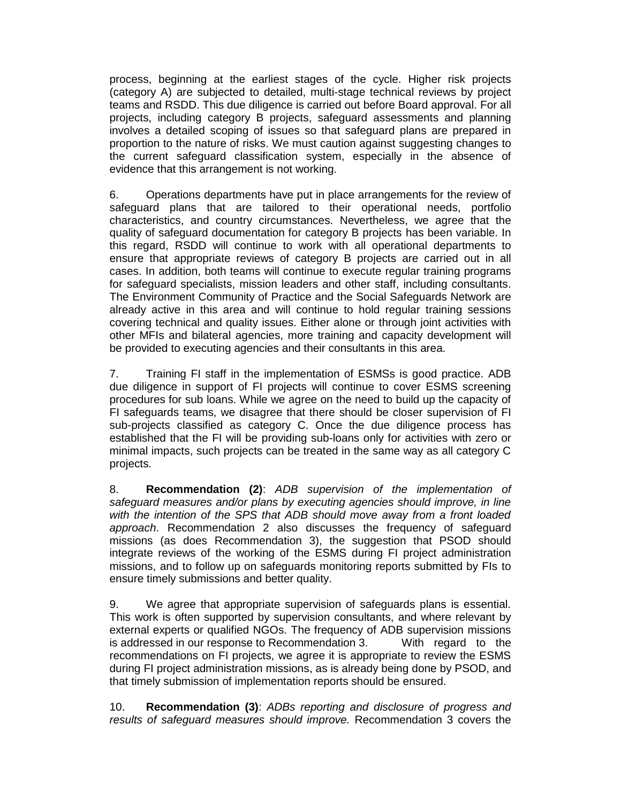process, beginning at the earliest stages of the cycle. Higher risk projects (category A) are subjected to detailed, multi-stage technical reviews by project teams and RSDD. This due diligence is carried out before Board approval. For all projects, including category B projects, safeguard assessments and planning involves a detailed scoping of issues so that safeguard plans are prepared in proportion to the nature of risks. We must caution against suggesting changes to the current safeguard classification system, especially in the absence of evidence that this arrangement is not working.

6. Operations departments have put in place arrangements for the review of safeguard plans that are tailored to their operational needs, portfolio characteristics, and country circumstances. Nevertheless, we agree that the quality of safeguard documentation for category B projects has been variable. In this regard, RSDD will continue to work with all operational departments to ensure that appropriate reviews of category B projects are carried out in all cases. In addition, both teams will continue to execute regular training programs for safeguard specialists, mission leaders and other staff, including consultants. The Environment Community of Practice and the Social Safeguards Network are already active in this area and will continue to hold regular training sessions covering technical and quality issues. Either alone or through joint activities with other MFIs and bilateral agencies, more training and capacity development will be provided to executing agencies and their consultants in this area.

7. Training FI staff in the implementation of ESMSs is good practice. ADB due diligence in support of FI projects will continue to cover ESMS screening procedures for sub loans. While we agree on the need to build up the capacity of FI safeguards teams, we disagree that there should be closer supervision of FI sub-projects classified as category C. Once the due diligence process has established that the FI will be providing sub-loans only for activities with zero or minimal impacts, such projects can be treated in the same way as all category C projects.

8. **Recommendation (2)**: *ADB supervision of the implementation of safeguard measures and/or plans by executing agencies should improve, in line with the intention of the SPS that ADB should move away from a front loaded approach*. Recommendation 2 also discusses the frequency of safeguard missions (as does Recommendation 3), the suggestion that PSOD should integrate reviews of the working of the ESMS during FI project administration missions, and to follow up on safeguards monitoring reports submitted by FIs to ensure timely submissions and better quality.

9. We agree that appropriate supervision of safeguards plans is essential. This work is often supported by supervision consultants, and where relevant by external experts or qualified NGOs. The frequency of ADB supervision missions is addressed in our response to Recommendation 3. With regard to the recommendations on FI projects, we agree it is appropriate to review the ESMS during FI project administration missions, as is already being done by PSOD, and that timely submission of implementation reports should be ensured.

10. **Recommendation (3)**: *ADBs reporting and disclosure of progress and results of safeguard measures should improve.* Recommendation 3 covers the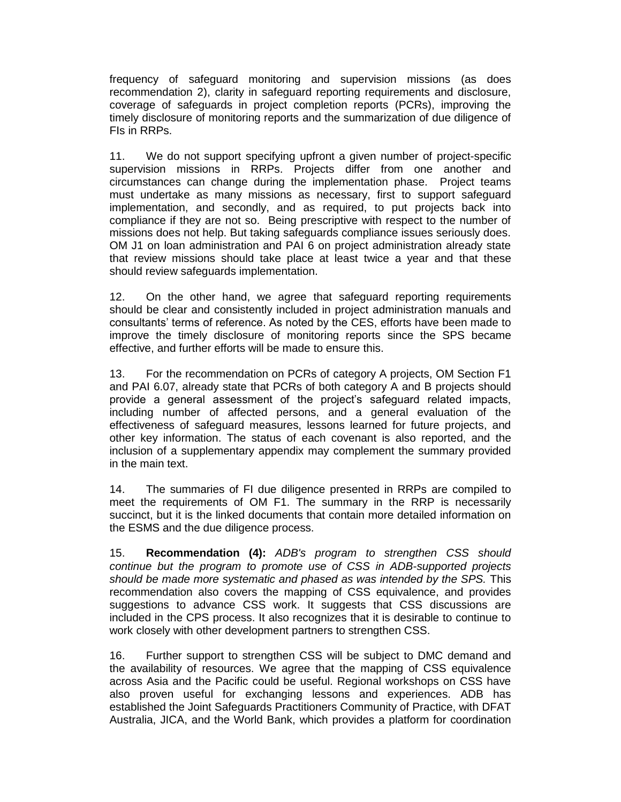frequency of safeguard monitoring and supervision missions (as does recommendation 2), clarity in safeguard reporting requirements and disclosure, coverage of safeguards in project completion reports (PCRs), improving the timely disclosure of monitoring reports and the summarization of due diligence of FIs in RRPs.

11. We do not support specifying upfront a given number of project-specific supervision missions in RRPs. Projects differ from one another and circumstances can change during the implementation phase. Project teams must undertake as many missions as necessary, first to support safeguard implementation, and secondly, and as required, to put projects back into compliance if they are not so. Being prescriptive with respect to the number of missions does not help. But taking safeguards compliance issues seriously does. OM J1 on loan administration and PAI 6 on project administration already state that review missions should take place at least twice a year and that these should review safeguards implementation.

12. On the other hand, we agree that safeguard reporting requirements should be clear and consistently included in project administration manuals and consultants' terms of reference. As noted by the CES, efforts have been made to improve the timely disclosure of monitoring reports since the SPS became effective, and further efforts will be made to ensure this.

13. For the recommendation on PCRs of category A projects, OM Section F1 and PAI 6.07, already state that PCRs of both category A and B projects should provide a general assessment of the project's safeguard related impacts, including number of affected persons, and a general evaluation of the effectiveness of safeguard measures, lessons learned for future projects, and other key information. The status of each covenant is also reported, and the inclusion of a supplementary appendix may complement the summary provided in the main text.

14. The summaries of FI due diligence presented in RRPs are compiled to meet the requirements of OM F1. The summary in the RRP is necessarily succinct, but it is the linked documents that contain more detailed information on the ESMS and the due diligence process.

15. **Recommendation (4):** *ADB's program to strengthen CSS should continue but the program to promote use of CSS in ADB-supported projects should be made more systematic and phased as was intended by the SPS.* This recommendation also covers the mapping of CSS equivalence, and provides suggestions to advance CSS work. It suggests that CSS discussions are included in the CPS process. It also recognizes that it is desirable to continue to work closely with other development partners to strengthen CSS.

16. Further support to strengthen CSS will be subject to DMC demand and the availability of resources. We agree that the mapping of CSS equivalence across Asia and the Pacific could be useful. Regional workshops on CSS have also proven useful for exchanging lessons and experiences. ADB has established the Joint Safeguards Practitioners Community of Practice, with DFAT Australia, JICA, and the World Bank, which provides a platform for coordination